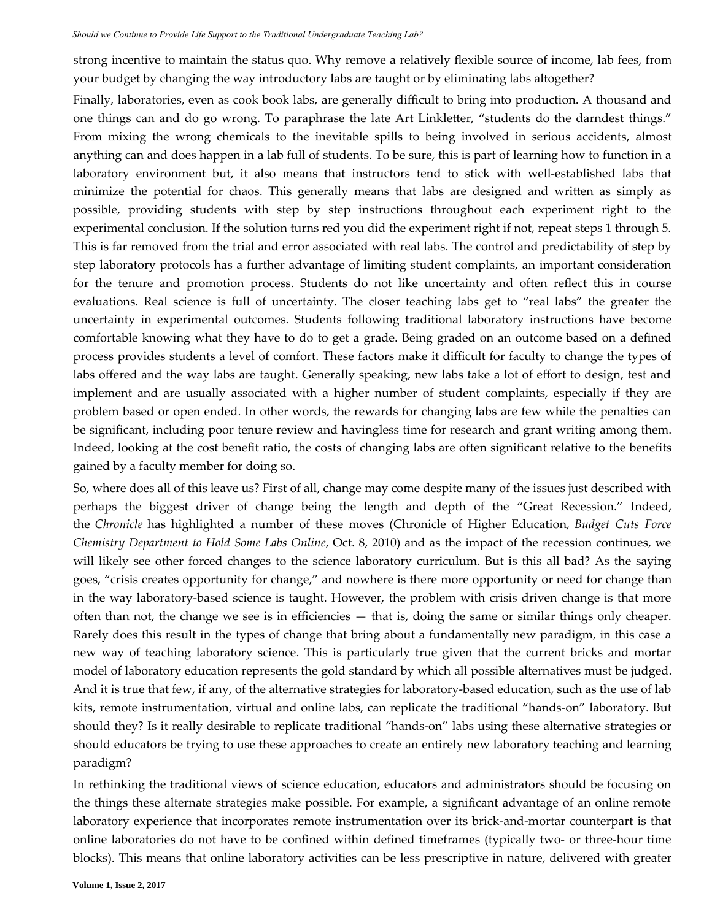strong incentive to maintain the status quo. Why remove a relatively flexible source of income, lab fees, from your budget by changing the way introductory labs are taught or by eliminating labs altogether?

Finally, laboratories, even as cook book labs, are generally difficult to bring into production. A thousand and one things can and do go wrong. To paraphrase the late Art Linkletter, "students do the darndest things." From mixing the wrong chemicals to the inevitable spills to being involved in serious accidents, almost anything can and does happen in a lab full of students. To be sure, this is part of learning how to function in a laboratory environment but, it also means that instructors tend to stick with well-established labs that minimize the potential for chaos. This generally means that labs are designed and written as simply as possible, providing students with step by step instructions throughout each experiment right to the experimental conclusion. If the solution turns red you did the experiment right if not, repeat steps 1 through 5. This is far removed from the trial and error associated with real labs. The control and predictability of step by step laboratory protocols has a further advantage of limiting student complaints, an important consideration for the tenure and promotion process. Students do not like uncertainty and often reflect this in course evaluations. Real science is full of uncertainty. The closer teaching labs get to "real labs" the greater the uncertainty in experimental outcomes. Students following traditional laboratory instructions have become comfortable knowing what they have to do to get a grade. Being graded on an outcome based on a defined process provides students a level of comfort. These factors make it difficult for faculty to change the types of labs offered and the way labs are taught. Generally speaking, new labs take a lot of effort to design, test and implement and are usually associated with a higher number of student complaints, especially if they are problem based or open ended. In other words, the rewards for changing labs are few while the penalties can be significant, including poor tenure review and havingless time for research and grant writing among them. Indeed, looking at the cost benefit ratio, the costs of changing labs are often significant relative to the benefits gained by a faculty member for doing so. *Notestive Commut to Provide Life Support to the Traditional Undergraduate Teaching LeoPsycrum in the Statis quod . Why remove a relative of provide type thanging the way introductory labs are uzagit of formally different* 

So, where does all of this leave us? First of all, change may come despite many of the issues just described with perhaps the biggest driver of change being the length and depth of the "Great Recession." Indeed, the *Chronicle* has highlighted a number of these moves (Chronicle of Higher Education, *Budget Cuts Force Chemistry Department to Hold Some Labs Online*, Oct. 8, 2010) and as the impact of the recession continues, we will likely see other forced changes to the science laboratory curriculum. But is this all bad? As the saying goes, "crisis creates opportunity for change," and nowhere is there more opportunity or need for change than in the way laboratory-based science is taught. However, the problem with crisis driven change is that more often than not, the change we see is in efficiencies — that is, doing the same or similar things only cheaper. Rarely does this result in the types of change that bring about a fundamentally new paradigm, in this case a new way of teaching laboratory science. This is particularly true given that the current bricks and mortar model of laboratory education represents the gold standard by which all possible alternatives must be judged. And it is true that few, if any, of the alternative strategies for laboratory-based education, such as the use of lab kits, remote instrumentation, virtual and online labs, can replicate the traditional "hands‑on" laboratory. But should they? Is it really desirable to replicate traditional "hands‑on" labs using these alternative strategies or should educators be trying to use these approaches to create an entirely new laboratory teaching and learning paradigm?

In rethinking the traditional views of science education, educators and administrators should be focusing on the things these alternate strategies make possible. For example, a significant advantage of an online remote laboratory experience that incorporates remote instrumentation over its brick‑and‑mortar counterpart is that online laboratories do not have to be confined within defined timeframes (typically two‑ or three‑hour time blocks). This means that online laboratory activities can be less prescriptive in nature, delivered with greater